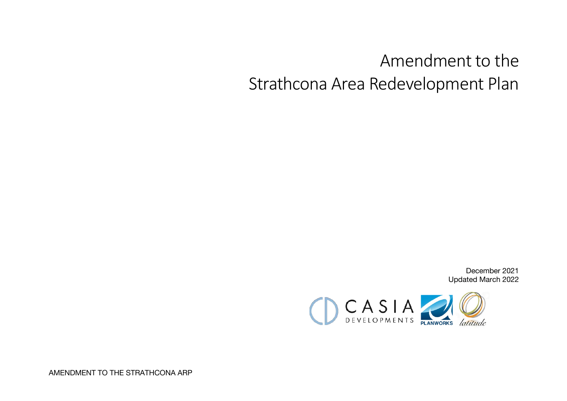# Amendment to the Strathcona Area Redevelopment Plan

December 2021 Updated March 2022



AMENDMENT TO THE STRATHCONA ARP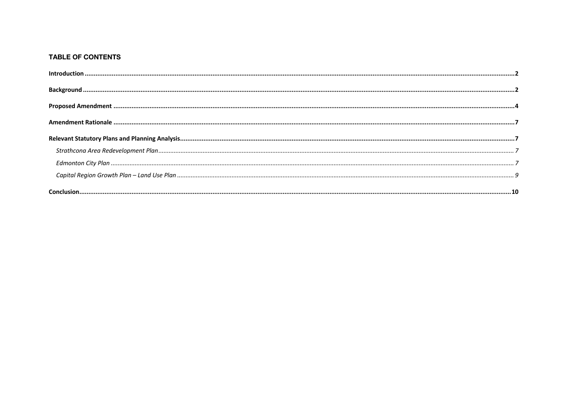#### **TABLE OF CONTENTS**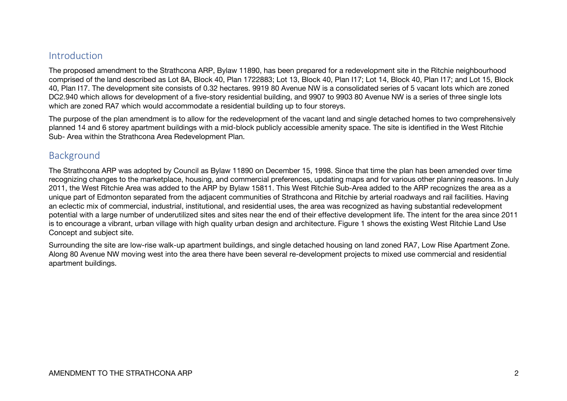#### Introduction

The proposed amendment to the Strathcona ARP, Bylaw 11890, has been prepared for a redevelopment site in the Ritchie neighbourhood comprised of the land described as Lot 8A, Block 40, Plan 1722883; Lot 13, Block 40, Plan I17; Lot 14, Block 40, Plan I17; and Lot 15, Block 40, Plan I17. The development site consists of 0.32 hectares. 9919 80 Avenue NW is a consolidated series of 5 vacant lots which are zoned DC2.940 which allows for development of a five-story residential building, and 9907 to 9903 80 Avenue NW is a series of three single lots which are zoned RA7 which would accommodate a residential building up to four storeys.

The purpose of the plan amendment is to allow for the redevelopment of the vacant land and single detached homes to two comprehensively planned 14 and 6 storey apartment buildings with a mid-block publicly accessible amenity space. The site is identified in the West Ritchie Sub- Area within the Strathcona Area Redevelopment Plan.

#### Background

The Strathcona ARP was adopted by Council as Bylaw 11890 on December 15, 1998. Since that time the plan has been amended over time recognizing changes to the marketplace, housing, and commercial preferences, updating maps and for various other planning reasons. In July 2011, the West Ritchie Area was added to the ARP by Bylaw 15811. This West Ritchie Sub-Area added to the ARP recognizes the area as a unique part of Edmonton separated from the adjacent communities of Strathcona and Ritchie by arterial roadways and rail facilities. Having an eclectic mix of commercial, industrial, institutional, and residential uses, the area was recognized as having substantial redevelopment potential with a large number of underutilized sites and sites near the end of their effective development life. The intent for the area since 2011 is to encourage a vibrant, urban village with high quality urban design and architecture. Figure 1 shows the existing West Ritchie Land Use Concept and subject site.

Surrounding the site are low-rise walk-up apartment buildings, and single detached housing on land zoned RA7, Low Rise Apartment Zone. Along 80 Avenue NW moving west into the area there have been several re-development projects to mixed use commercial and residential apartment buildings.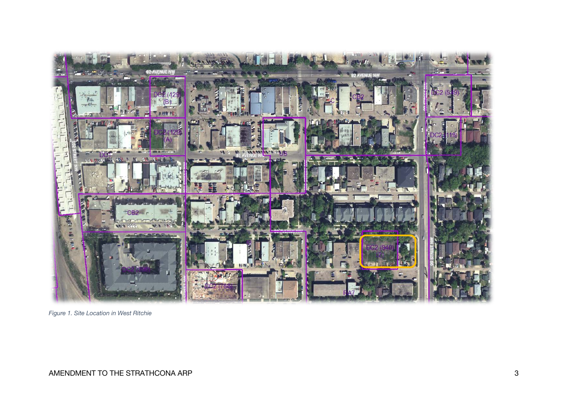

*Figure 1. Site Location in West Ritchie*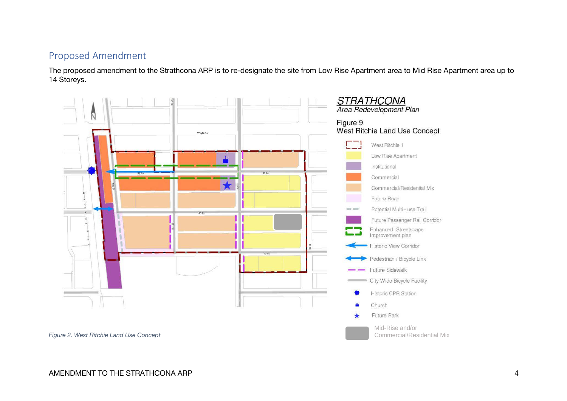## Proposed Amendment

The proposed amendment to the Strathcona ARP is to re-designate the site from Low Rise Apartment area to Mid Rise Apartment area up to 14 Storeys.

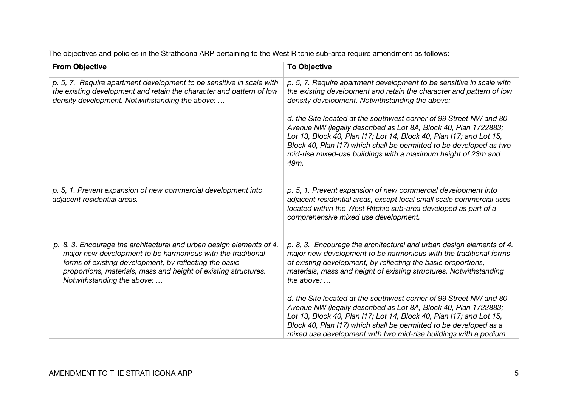The objectives and policies in the Strathcona ARP pertaining to the West Ritchie sub-area require amendment as follows:

| <b>From Objective</b>                                                                                                                                                                                                                                                                          | <b>To Objective</b>                                                                                                                                                                                                                                                                                                                                                                                                                                                                                                                                             |
|------------------------------------------------------------------------------------------------------------------------------------------------------------------------------------------------------------------------------------------------------------------------------------------------|-----------------------------------------------------------------------------------------------------------------------------------------------------------------------------------------------------------------------------------------------------------------------------------------------------------------------------------------------------------------------------------------------------------------------------------------------------------------------------------------------------------------------------------------------------------------|
| p. 5, 7. Require apartment development to be sensitive in scale with<br>the existing development and retain the character and pattern of low<br>density development. Notwithstanding the above:                                                                                                | p. 5, 7. Require apartment development to be sensitive in scale with<br>the existing development and retain the character and pattern of low<br>density development. Notwithstanding the above:<br>d. the Site located at the southwest corner of 99 Street NW and 80<br>Avenue NW (legally described as Lot 8A, Block 40, Plan 1722883;<br>Lot 13, Block 40, Plan I17; Lot 14, Block 40, Plan I17; and Lot 15,<br>Block 40, Plan I17) which shall be permitted to be developed as two<br>mid-rise mixed-use buildings with a maximum height of 23m and<br>49m. |
|                                                                                                                                                                                                                                                                                                |                                                                                                                                                                                                                                                                                                                                                                                                                                                                                                                                                                 |
| p. 5, 1. Prevent expansion of new commercial development into<br>adjacent residential areas.                                                                                                                                                                                                   | p. 5, 1. Prevent expansion of new commercial development into<br>adjacent residential areas, except local small scale commercial uses<br>located within the West Ritchie sub-area developed as part of a<br>comprehensive mixed use development.                                                                                                                                                                                                                                                                                                                |
| p. 8, 3. Encourage the architectural and urban design elements of 4.<br>major new development to be harmonious with the traditional<br>forms of existing development, by reflecting the basic<br>proportions, materials, mass and height of existing structures.<br>Notwithstanding the above: | p. 8, 3. Encourage the architectural and urban design elements of 4.<br>major new development to be harmonious with the traditional forms<br>of existing development, by reflecting the basic proportions,<br>materials, mass and height of existing structures. Notwithstanding<br>the above: $\dots$                                                                                                                                                                                                                                                          |
|                                                                                                                                                                                                                                                                                                | d. the Site located at the southwest corner of 99 Street NW and 80<br>Avenue NW (legally described as Lot 8A, Block 40, Plan 1722883;<br>Lot 13, Block 40, Plan I17; Lot 14, Block 40, Plan I17; and Lot 15,<br>Block 40, Plan I17) which shall be permitted to be developed as a<br>mixed use development with two mid-rise buildings with a podium                                                                                                                                                                                                            |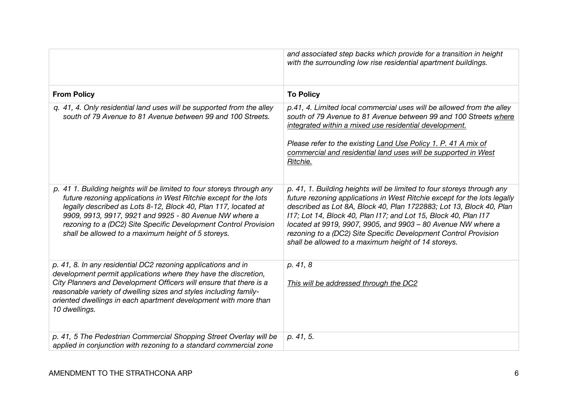|                                                                                                                                                                                                                                                                                                                                                                                                | and associated step backs which provide for a transition in height<br>with the surrounding low rise residential apartment buildings.                                                                                                                                                                                                                                                                                                                                                   |
|------------------------------------------------------------------------------------------------------------------------------------------------------------------------------------------------------------------------------------------------------------------------------------------------------------------------------------------------------------------------------------------------|----------------------------------------------------------------------------------------------------------------------------------------------------------------------------------------------------------------------------------------------------------------------------------------------------------------------------------------------------------------------------------------------------------------------------------------------------------------------------------------|
| <b>From Policy</b>                                                                                                                                                                                                                                                                                                                                                                             | <b>To Policy</b>                                                                                                                                                                                                                                                                                                                                                                                                                                                                       |
| q. 41, 4. Only residential land uses will be supported from the alley<br>south of 79 Avenue to 81 Avenue between 99 and 100 Streets.                                                                                                                                                                                                                                                           | p.41, 4. Limited local commercial uses will be allowed from the alley<br>south of 79 Avenue to 81 Avenue between 99 and 100 Streets where<br>integrated within a mixed use residential development.<br>Please refer to the existing Land Use Policy 1. P. 41 A mix of<br>commercial and residential land uses will be supported in West<br>Ritchie.                                                                                                                                    |
| p. 41 1. Building heights will be limited to four storeys through any<br>future rezoning applications in West Ritchie except for the lots<br>legally described as Lots 8-12, Block 40, Plan 117, located at<br>9909, 9913, 9917, 9921 and 9925 - 80 Avenue NW where a<br>rezoning to a (DC2) Site Specific Development Control Provision<br>shall be allowed to a maximum height of 5 storeys. | p. 41, 1. Building heights will be limited to four storeys through any<br>future rezoning applications in West Ritchie except for the lots legally<br>described as Lot 8A, Block 40, Plan 1722883; Lot 13, Block 40, Plan<br>117; Lot 14, Block 40, Plan 117; and Lot 15, Block 40, Plan 117<br>located at 9919, 9907, 9905, and 9903 - 80 Avenue NW where a<br>rezoning to a (DC2) Site Specific Development Control Provision<br>shall be allowed to a maximum height of 14 storeys. |
| p. 41, 8. In any residential DC2 rezoning applications and in<br>development permit applications where they have the discretion,<br>City Planners and Development Officers will ensure that there is a<br>reasonable variety of dwelling sizes and styles including family-<br>oriented dwellings in each apartment development with more than<br>10 dwellings.                                | p. 41, 8<br>This will be addressed through the DC2                                                                                                                                                                                                                                                                                                                                                                                                                                     |
| p. 41, 5 The Pedestrian Commercial Shopping Street Overlay will be<br>applied in conjunction with rezoning to a standard commercial zone                                                                                                                                                                                                                                                       | p. 41, 5.                                                                                                                                                                                                                                                                                                                                                                                                                                                                              |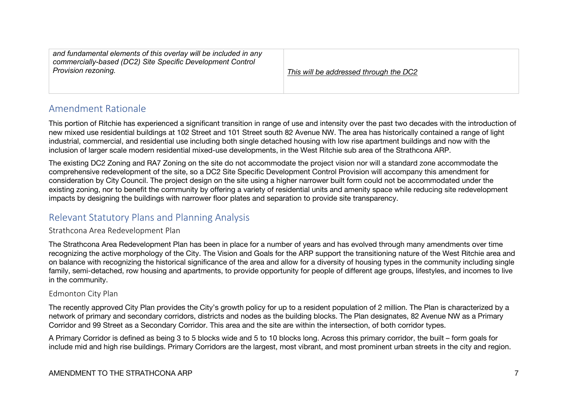| and fundamental elements of this overlay will be included in any<br>commercially-based (DC2) Site Specific Development Control<br>Provision rezoning. | This will be addressed through the DC2 |
|-------------------------------------------------------------------------------------------------------------------------------------------------------|----------------------------------------|
|-------------------------------------------------------------------------------------------------------------------------------------------------------|----------------------------------------|

# Amendment Rationale

This portion of Ritchie has experienced a significant transition in range of use and intensity over the past two decades with the introduction of new mixed use residential buildings at 102 Street and 101 Street south 82 Avenue NW. The area has historically contained a range of light industrial, commercial, and residential use including both single detached housing with low rise apartment buildings and now with the inclusion of larger scale modern residential mixed-use developments, in the West Ritchie sub area of the Strathcona ARP.

The existing DC2 Zoning and RA7 Zoning on the site do not accommodate the project vision nor will a standard zone accommodate the comprehensive redevelopment of the site, so a DC2 Site Specific Development Control Provision will accompany this amendment for consideration by City Council. The project design on the site using a higher narrower built form could not be accommodated under the existing zoning, nor to benefit the community by offering a variety of residential units and amenity space while reducing site redevelopment impacts by designing the buildings with narrower floor plates and separation to provide site transparency.

# Relevant Statutory Plans and Planning Analysis

#### Strathcona Area Redevelopment Plan

The Strathcona Area Redevelopment Plan has been in place for a number of years and has evolved through many amendments over time recognizing the active morphology of the City. The Vision and Goals for the ARP support the transitioning nature of the West Ritchie area and on balance with recognizing the historical significance of the area and allow for a diversity of housing types in the community including single family, semi-detached, row housing and apartments, to provide opportunity for people of different age groups, lifestyles, and incomes to live in the community.

#### Edmonton City Plan

The recently approved City Plan provides the City's growth policy for up to a resident population of 2 million. The Plan is characterized by a network of primary and secondary corridors, districts and nodes as the building blocks. The Plan designates, 82 Avenue NW as a Primary Corridor and 99 Street as a Secondary Corridor. This area and the site are within the intersection, of both corridor types.

A Primary Corridor is defined as being 3 to 5 blocks wide and 5 to 10 blocks long. Across this primary corridor, the built – form goals for include mid and high rise buildings. Primary Corridors are the largest, most vibrant, and most prominent urban streets in the city and region.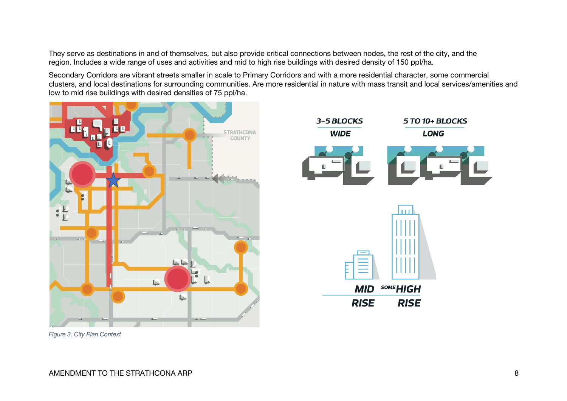They serve as destinations in and of themselves, but also provide critical connections between nodes, the rest of the city, and the region. Includes a wide range of uses and activities and mid to high rise buildings with desired density of 150 ppl/ha.

Secondary Corridors are vibrant streets smaller in scale to Primary Corridors and with a more residential character, some commercial clusters, and local destinations for surrounding communities. Are more residential in nature with mass transit and local services/amenities and low to mid rise buildings with desired densities of 75 ppl/ha.



*Figure 3. City Plan Context*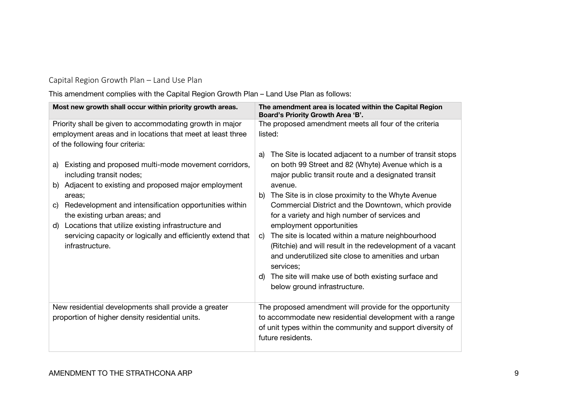## Capital Region Growth Plan – Land Use Plan

This amendment complies with the Capital Region Growth Plan – Land Use Plan as follows:

| Most new growth shall occur within priority growth areas.                                                                                                                                                                                                                                                                                                                                                             | The amendment area is located within the Capital Region<br>Board's Priority Growth Area 'B'.                                                                                                                                                                                                                                                                                                                                                                                                                                                                                                                                                                                                |
|-----------------------------------------------------------------------------------------------------------------------------------------------------------------------------------------------------------------------------------------------------------------------------------------------------------------------------------------------------------------------------------------------------------------------|---------------------------------------------------------------------------------------------------------------------------------------------------------------------------------------------------------------------------------------------------------------------------------------------------------------------------------------------------------------------------------------------------------------------------------------------------------------------------------------------------------------------------------------------------------------------------------------------------------------------------------------------------------------------------------------------|
| Priority shall be given to accommodating growth in major                                                                                                                                                                                                                                                                                                                                                              | The proposed amendment meets all four of the criteria                                                                                                                                                                                                                                                                                                                                                                                                                                                                                                                                                                                                                                       |
| employment areas and in locations that meet at least three<br>of the following four criteria:                                                                                                                                                                                                                                                                                                                         | listed:                                                                                                                                                                                                                                                                                                                                                                                                                                                                                                                                                                                                                                                                                     |
| Existing and proposed multi-mode movement corridors,<br>a)<br>including transit nodes;<br>Adjacent to existing and proposed major employment<br>b)<br>areas;<br>Redevelopment and intensification opportunities within<br>$\mathbf{C}$<br>the existing urban areas; and<br>Locations that utilize existing infrastructure and<br>d)<br>servicing capacity or logically and efficiently extend that<br>infrastructure. | The Site is located adjacent to a number of transit stops<br>a)<br>on both 99 Street and 82 (Whyte) Avenue which is a<br>major public transit route and a designated transit<br>avenue.<br>The Site is in close proximity to the Whyte Avenue<br>b)<br>Commercial District and the Downtown, which provide<br>for a variety and high number of services and<br>employment opportunities<br>The site is located within a mature neighbourhood<br>$\mathbf{C}$<br>(Ritchie) and will result in the redevelopment of a vacant<br>and underutilized site close to amenities and urban<br>services;<br>The site will make use of both existing surface and<br>d)<br>below ground infrastructure. |
| New residential developments shall provide a greater<br>proportion of higher density residential units.                                                                                                                                                                                                                                                                                                               | The proposed amendment will provide for the opportunity<br>to accommodate new residential development with a range<br>of unit types within the community and support diversity of<br>future residents.                                                                                                                                                                                                                                                                                                                                                                                                                                                                                      |